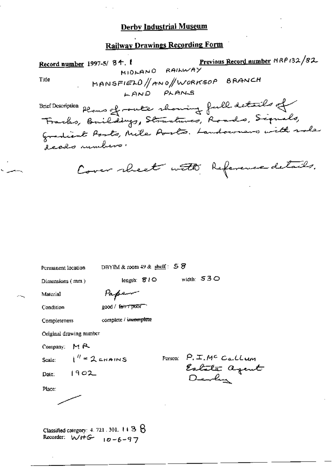# **Railway Drawings Recording Form**

Previous Record number MRP 132/82 Record number 1997-5/84. MIDLAND RAILWAY MANSFIELD/ANO/WORKSOP BRANCH Title LAND PLANS Brief Description planes of route showing full details of Gradient Ports, Nite Ports. Landowners with sole deeds rumbers. Cover rheat with Reference details. DBYIM & room  $49$  & shelf:  $58$ Permanent location width:  $530$ length: *810* Dimensions (mm) Material Paper good / fair 7 poor Condition complete / incomplete Completeness

Original drawing number

Company: MR

Scale:

Place:

 $1'' = 2$  chains

 $1902$ Date:

Person:  $P_{\cdot}$   $\mathcal{I}_{\cdot}$   $M^{c}$   $C_{a}$ ,  $CL$ um Estate agent

Classified category: 4, 721, 301,  $+13.8$ Recorder:  $WH-G$   $10-6-97$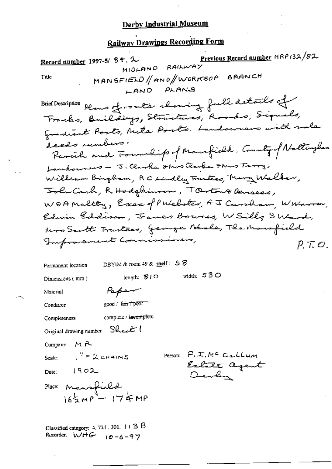# **Railway Drawings Recording Form**

Previous Record number HRP 132/82 Record number 1997-5/84.2 MIDLAND RAILWAY MANSFIELD/ANO/WORKSOP BRANCH Title LAND PLANS Brief Description plans of route showing full details of Tracks, Buildings, Structures, Roads, Signals, Gradiant Ports, Mite Ports. Landowners with rale deeds numbers. Parcile and Township of Mansfield, County of Noltingham Landowners - J. Clarke show Clarke This Ferry, William Bingham, RC Lindley Fusters, Marg Walker, John Carl, R Hodgkinson, TOrton& Devisees, WOAMaltty, Exec of Publister, AJ Cursham, WWarren, Edwin Eddison, James Bownes, W Silly SWard, kno Scott Tranteas, George Beale, The Mausfield Improvement Commissioners,  $P. T. O.$ DBYIM & room 49 & shelf: 58 Permanent location width:  $530$ length: 810 Dimensions (mm)  $P_{\alpha}$ per Material  $good /$   $hat$   $poor$ Condition complete / incomplete Completeness Original drawing number Sheet ( Company: MR  $I^H = 2$  chains Person:  $P_{i}$  I,  $M^{c}$  Callum Scale: Estate agent Date:  $(902$ Devlin Place: Mansfield<br> $16\frac{1}{2}MP - 174MP$ Classified category: 4, 721, 301, 11 3 B

Recorder:  $WHF$   $10-6-97$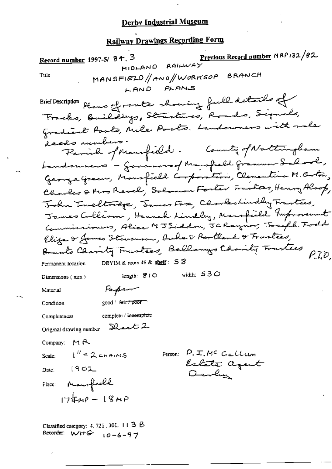# **Railway Drawings Recording Form**

Previous Record number MRP132/82 Record number 1997-5/84.3 MIDLAND RAILWAY MANSFIELD/ANO/WORKSOP BRANCH Title LAND PLANS Plans of route showing full details of **Brief Description** Franks, Buildings, Structures, Roads, Signals, Gradient Parts, Nite Ports. Landowners with rale -<br>decolo numbers -Parish of Mansfield. Country of Nattingham Landoumers - Governous of Manufaeld grammer School, George Green, Monsfield Corporation, Clementina M. Orton, Charles & Mrs Revel, Solomon Forter Trustees, Henry Alsop, John Twellwage, James Fox, Clookeshindly Trastees, James Collison, Hannah Lindley, Marsfield Improvement Eliza & James Stevenson, hole & Rertland & Trustees, Brunts Charity Trustees, Bellings Charity Trustees P.T.O. DBYIM & room 49 & shelf:  $58$ Permanent location width:  $530$ length: 810 Dimensions (mm) Papam Material good / fair / poor Condition complete / incomplete Completeness Original drawing number  $\text{Black } 2$ Company:  $M R$ Scale:  $i'' = 2$  chains Person:  $P, \pm, M^c$  Callum Estate agent Date:  $[902]$ Devly Place: Maurfrell  $1744P - 18MP$ Classified category:  $4.721$ , 301, 11 3  $\beta$ 

Recorder:  $W + G - 10 - 6 - 97$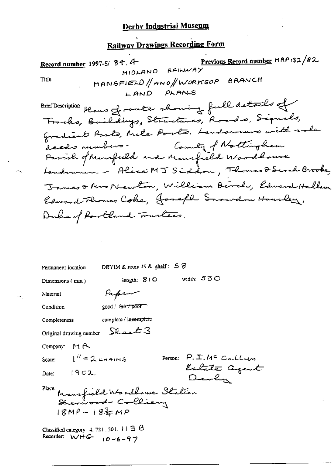# Railway Drawings Recording Form

Previous Record number MRP 132/82 Record number 1997-5/ 34.4 MIDLAND RAILWAY MANSFIELD//ANO//WORKSOP BRANCH Title LAND PLANS Brief Description plans of router showing full details of Tracks, Baildings, Stractures, Roads, Signals, Gradient Parts, Nite Ports. Landowners with role access rumbers. County of Nottingham Parish of Mansfeeld and Mansfeeld Woodhouse Landowners - Alice MJ Siddom, Thomas & Serah Brooke James & Arro Newton, William Birch, Edward Hallam Edward Flores Coke, Joseph Summer Housley, Ducha of Rookland Trustees. DBYIM & room 49 & shelf:  $58$ Permanent location width:  $530$ length: SIO Dimensions (mm) Paper Material Condition good / term poor complete / incomplete Completeness Sheet 3 Original drawing number Company: MR  $1'' = 2$  crains Person:  $P_1 \mathcal{I}$ , M<sup>c</sup> Callum Scale: Estate agent Date:  $[902]$ Darly Place; Mansfield Woodbowe Station<br>Strenwood Colliery  $18MP - 18 = MP$ 

Classified category: 4, 721, 301,  $\pm 1$  3  $\%$ Recorder:  $WHG = 10 - 6 - 97$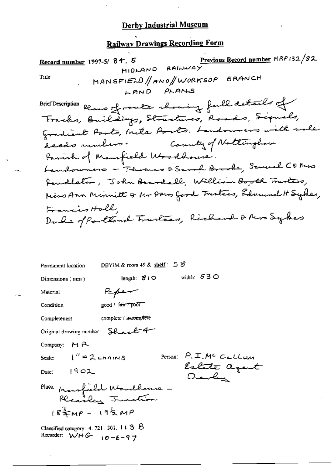# **Railway Drawings Recording Form**

Previous Record number MRP 132/82 Record number 1997-5/84.5  $MIDLANO$  RAILWAY MANSFIELD/ANO/WORKSOP BRANCH Title LAND PLANS Brief Description plans of route showing full details of Fracks, Buildings, Stractures, Roads, Signals, Gradient Posts, Mile Posts. Landowners with sale deeds runbers. County of Nottingham Parish of Mansfield Woodhouse. Landouners - Thomas & Sanah Brooks, Samuel Comos Renallston, John Beardell, William Booth Trustees, Miss Ann Minnitt & Mr Dars Good Tracters, Edmund H Sydes, Francis Hall, Duke of Partland Trustees, Richard & Mrs Sylves DBYIM & room 49 & shelf:  $58$ Permanent location width:  $530$ length: 810 Dimensions (mm) Paper Material Condition  $good / 4 \pi \rightarrow 7000$ complete / incomplete Completeness Original drawing number Sheet 4 Company: MR  $1'' = 2$  chains

Scale:

Date:  $1902$ 

Person:  $P, \pm, M^c$  Callum Estate agent Devly

Place: Maurfield Whomallowse -Recarley Trunction  $18\frac{3}{4}$ MP -  $19\frac{1}{2}$ MP

Classified category: 4, 721, 301,  $113.6$ Recorder:  $WHC$   $(0-6-97)$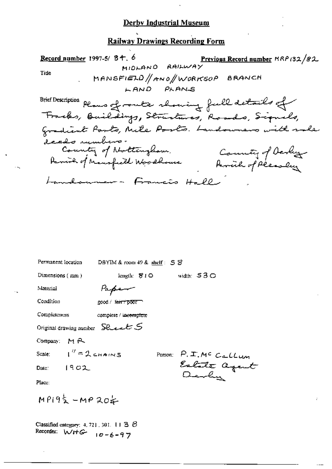### **Railway Drawings Recording Form**

Record number 1997-5/84.6 Previous Record number MRP 132/82  $HIDLANO$   $RAIWWAY$ Title MANSFIELD/ANO/WORKSOP BRANCH LAND PLANS Brief Description plans of route showing full details of<br>Tracks, Baildings, Structures, Roads, Signals, **Brief Description** Gradient Parts, Mile Posts. Landowners with sale deeds rumbers.<br>County of Nottingham. County of Derby Parish of Mansfeeld Woodhouse Landoumer - Francis Hall

| Permanent Iocation                              | DBYIM & room 49 & shelf: 5 S |                            |                                       |
|-------------------------------------------------|------------------------------|----------------------------|---------------------------------------|
| Dimensions (mm)                                 |                              | length: $810$ width: $530$ |                                       |
| Material                                        | tapen                        |                            |                                       |
| Condition                                       | good / fair 7 poor           |                            |                                       |
| Completeness                                    | complete / incomplete        |                            |                                       |
| Original drawing number $\,$ Second $\,$ S $\,$ |                              |                            |                                       |
| Company: M.A.                                   |                              |                            |                                       |
| Scale: $1'' = 2$ chains                         |                              |                            |                                       |
| Date: 19 <i>0</i> 2                             |                              |                            | Person: P.I.MC Callum<br>Estate agent |
| Place:                                          |                              |                            |                                       |
| $MP192 - MP202$                                 |                              |                            |                                       |
|                                                 |                              |                            |                                       |

Classified category: 4, 721, 301, 11  $36$ Recorder: WHG  $10 - 6 - 97$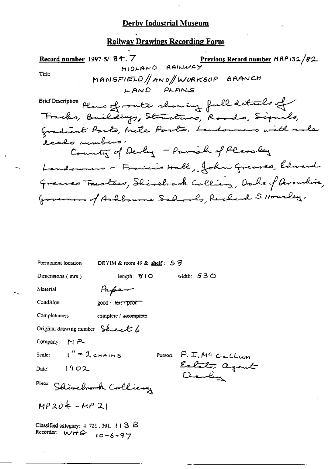### **Railway Drawings Recording Form**

Record number 1997-5/ 84.7 Previous Record number HRP 132/82 MIDLAND RAILWAY Title MANSFIELD/AND/WORKSOP BRANCH LAND PLANS Plans of route showing full details of **Brief Description** Franks, Buildings, Structures, Roads, Signals, Gradiant Posts, Mile Posts. Landowners with sole decalo rumbers. County of Devly - Parish of Pleasely Landonners - Francis Hall, John Greaves, Edward greaves Trustees, Shirehook Colling, Duke of Avonshire, Governors of Ashbourna Schools, Richard S Housley,

| Permanent location                                                         | DBYIM & room $49$ & shelf: $5$ $\overline{5}$ |                              |
|----------------------------------------------------------------------------|-----------------------------------------------|------------------------------|
| Dimensions $(mn)$                                                          | length: $\mathcal{B}$ i $\circlearrowleft$    | width: 530                   |
| Material                                                                   | rape-                                         |                              |
| Condition                                                                  | good / <del>farr/poor -</del>                 |                              |
| Completeness                                                               | complete / incomplete                         |                              |
| Original drawing number Sheet b                                            |                                               |                              |
| Company: MR                                                                |                                               |                              |
| Scale: $I'' = 2$ chains                                                    |                                               | Person: $P, \pm, M^c$ Callum |
| Date: $1902$                                                               |                                               | Estate agent<br>Devlin       |
| Place: Shirebrook Colliery                                                 |                                               |                              |
| $MP304 - MP21$                                                             |                                               |                              |
| Classified category: $4.721.301.113.15$<br>Recorder: $W + G - 10 - 6 - 97$ |                                               |                              |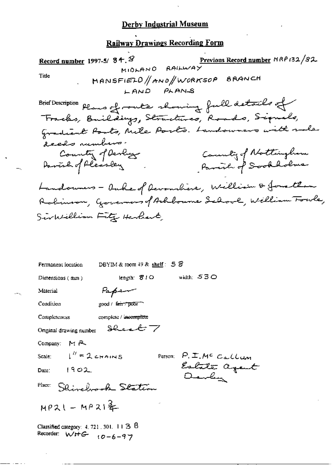### **Railway Drawings Recording Form**

Record number 1997-5/84. $8$ Previous Record number MRP 132/82. RAILWAY MIOLANO Title MANSFIELD/AND/WORKSOP BRANCH LAND PLANS Plans of route showing full details of **Brief Description** Fracks, Buildings, Structures, Roads, Signals, Gradiant Posts, Mile Ports. Landowners with sale deeds numbers. County of Nottingham Country of Devloy Parish of Sookholme Davish of Pleasley Landounes - Ouhe of Devanchine, William & Jonathan Robinson, Governors of Arhbourne Sehool, Welliam Fowle, Sinkillian Fitz Herbert DBYIM & toom  $49$  & shelf:  $58$ Permanent focation width:  $530$ length: 810 Dimensions (mm) Paper Material Condition  $good / f<sub>em</sub> + p<sub>corr</sub>$ Completeness complete / incomplete Sheet 7 Original drawing number Company:  $M \rightarrow \infty$  $1'' = 2$  chains Person: P. I. Mc Callum Scale: Estate agent Date:  $1902$ Darly

Place: Shinehook Station

 $MP21 - MP21$   $\frac{2}{4}$ 

Classified category:  $4.721.301.113.6$ Recorder:  $W + G$   $10 - 6 - 97$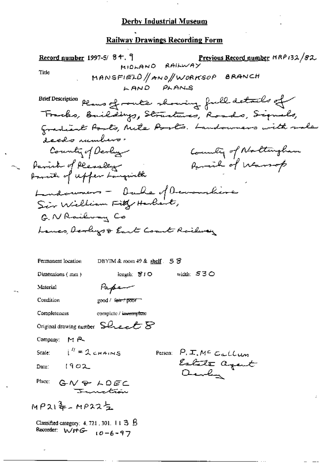#### **Railway Drawings Recording Form**

Record number 1997-5/84. Previous Record number MRP132/82 MIDLAND RAILWAY Tide MANSFIELD/ANO/WORKSOP BRANCH LAND PLANS Plans of route showing full details of **Brief Description** Tracks, Buildings, Structures, Roads, Signals, Gradiant Ports, Mile Ports. Landowners with rale ecclo numbers. County of Devly County of Northingham Parink of Pleasably<br>Parish of upper Languieth Parcial of Warrop Ludoumers - Ouke of Devanchine Sin William Fitty Harlest, G. NRailway Co Lancs, Acrays & East Coast Roilway Permanent location DBYIM & room  $49$  & shelf  $53$ Dimensions (mm) length: SIO width:  $530$ Paper Material good / fair / poor Condition Completeness complete / incomplete Original drawing number  $\mathsf{S}\mathcal{L}\text{-}\mathsf{c}\mathcal{L}\mathcal{B}$ Company: MR  $i'' = 2$  chains Person:  $P, \mathcal{I}, M^c$  Callum Scale: Estate agent  $1902$ Date:  $O_{\text{max}} \ell_{\text{max}}$ Place:  $GN + DEC$  $MP212 - MP225$ Classified category:  $4, 721, 301, 113, 6$ Recorder:  $W H G - 6 - 97$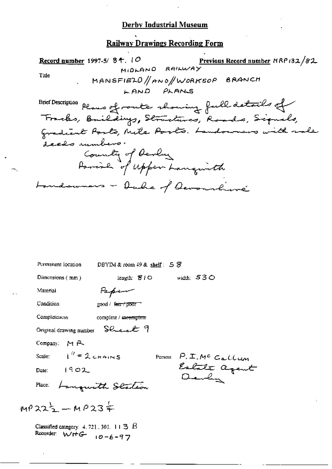### **Railway Drawings Recording Form**

Record number 1997-5/84.10 Previous Record number NRP 132/82 MIDLAND RAILWAY Title MANSFIELD/AND/WORKSOP BRANCH LAND PLANS Brief Description plans of route showing full details of **Brief Description** Gradient Posts, Mile Posts. Landowners with sole deeds rumbers.<br>County of Devly<br>Parish of Upper Langwith Landowners - Oake of Devousline

| Permanent location                                                                  |        |                                 | DBYIM & room $49$ & shelf: $5$ $8$ |              |                               |  |
|-------------------------------------------------------------------------------------|--------|---------------------------------|------------------------------------|--------------|-------------------------------|--|
| Dimensions (mm)                                                                     |        | length: $\mathcal{B}$ / $\circ$ |                                    | width: $530$ |                               |  |
| Material                                                                            | سنهضرك |                                 |                                    |              |                               |  |
| Condition                                                                           |        | good / f <del>air/poor -</del>  |                                    |              |                               |  |
| <b>Completeness</b>                                                                 |        | complete / meemplete            |                                    |              |                               |  |
| Original drawing number Sheelet 9                                                   |        |                                 |                                    |              |                               |  |
| Company: $M \rightarrow \infty$                                                     |        |                                 |                                    |              |                               |  |
| Scale: $1'' = 2$ chains                                                             |        |                                 | Person:                            |              |                               |  |
| 1902<br>Date:                                                                       |        |                                 |                                    |              | P.I.Mc Callun<br>Estate agent |  |
| Place: Languerith Station                                                           |        |                                 |                                    |              |                               |  |
| $MP325 - MP23 =$                                                                    |        |                                 |                                    |              |                               |  |
| Classified category: $4.721$ , $301$ , $11$ 3 $B$<br>Recorder: $WffG - 10 - 6 - 97$ |        |                                 |                                    |              |                               |  |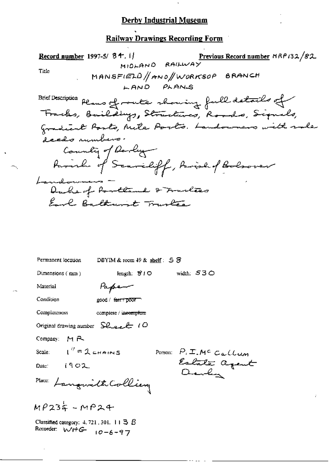**Railway Drawings Recording Form** 

Previous Record number NRP132/82 Record number 1997-5/  $8 + .1$ MIDLAND RAILWAY Title MANSFIELD/ANO/WORKSOP BRANCH LAND PLANS Brief Description plans of route showing full details of Franks, Baildings, Structures, Roads, Signals, Gradient Posts, Mile Posts. Landowners with sale deeds rumbers. County of Devly Parish of Scarceliff, Parish of Bolsover Landonnes -<br>Duche of Portland & Trusless Earl Baltainst Trustee Permanent location DBYIM & room  $49$  & shelf:  $58$ length:  $810$ width:  $530$ Dimensions (mm) Paper Material Condition good / fare / poor **Completeness** complete / incomplete Original drawing number  $SL_{\text{ext}}(O)$ Company: MR  $I'' = 2$  chains Person:  $P_i$  I. M<sup>c</sup> Callum Scale: Estate agent Date:  $(902)$ Place: Langwith Colling  $MP234 - MP24$ 

Classified category:  $4.721$ , 301. 11  $\exists$   $\beta$ Recorder:  $W + G$   $10 - 6 - 97$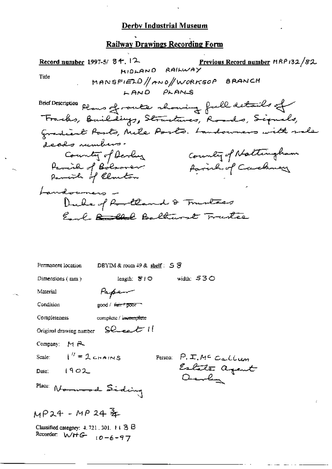### **Railway Drawings Recording Form**

Record number 1997-5/ 84, 12 Previous Record number MRP 132/82 MIDLAND RAILWAY Title MANSFIELD/ANO/WORKSOP BRANCH LAND PLANS **Brief Description** Plans of route showing full details of Franks, Buildings, Structures, Roads, Signals, gradiant Parts, Mile Ports. Landowners with rale decals rumbers. County of Nattingham County of Devluz Parish of Bolsover.<br>Parish of Clanton family of Caroliney Landouners -Duke of Rootland & Trustees Earl Roll Baltimore Trustee DBYIM & room  $49$  & shelf:  $5$   $\overline{5}$ Permanent location width: 530 Dimensions (mm) length: 810 Paper Material Condition good / <del>fair / poor</del> Completeness complete / incomplete  $SC$ cet  $H$ Original drawing number Company  $M \rightarrow \infty$  $i'' = 2$  chains Person: P. I. Mc Callum Scale: Estate agent Date:  $1902$ Quily Place: Norwood Siding  $MP24 - MP24$   $\frac{3}{2}$ Classified category: 4, 721, 301, † t 3 B Recorder:  $WHE$   $10-6-97$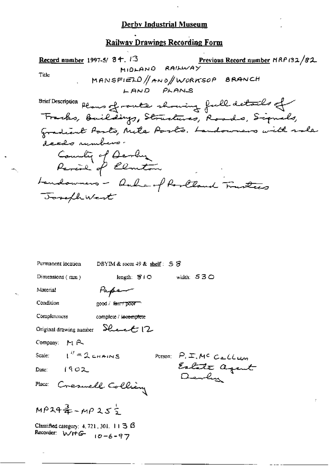### **Railway Drawings Recording Form**

Previous Record number HRP 132/82 Record number 1997-5/ 34. 13 MIDLAND RAILWAY Title MANSFIELD/ANO/WORKSOP BRANCH LAND PLANS Brief Description planes of route showing full details of Brief Description Gradient Posts, Nite Posts. Landowners with sale deeds rumbers. Country of Devly<br>Parish of Elmeton Landowners - Oule of Roolland Trustees Joseph West Permanent location DBYIM & room  $49$  & shelf:  $5$  S width: 530 Dimensions  $(mm)$ length:  $810$ Papen Material

Condition

good / ferrit poor m

Completeness

Company: MR

Scale:

complete / incomplete

Original drawing number  $\mathcal{L}_{\text{t}}$   $\mathcal{L}_{\text{t}}$   $(2, 1)$ 

 $Date:$ 

 $I'' = 2$  chains

 $1902$ 

Person: P. I. MC Callum Estate agent

Place: Creswell Collièry

 $MP34\frac{3}{4}-MP25\frac{1}{2}$ 

Classified category:  $4, 721, 301, 11$  3  $\beta$ Recorder:  $WHG - 10 - 6 - 97$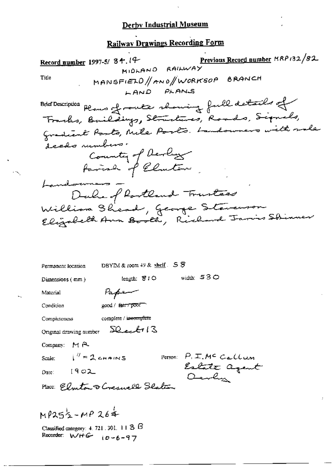# Railway Drawings Recording Form

Previous Record number MRP 132/82 Record number 1997-5/ 34.14 **MIDLAND** RAILWAY MANSFIELD//AND/WORKSOP BRANCH Title LAND PLANS Plus of route chowing full details of **Brief Description** Tracks, Baildings, Structures, Roads, Signals, Gradiant Parts, Mile Parts. Landowners with male deeds rumbers. County of Devlops Landonnes -<br>Dalre of Rootland Trustees William Shead, George Stauenson<br>Elizabeth Ann <del>Boot</del>h, Richard Jaris Shinner DBYIM & room 49 & shelf. 5 S Permanent location width:  $530$ length:  $810$ Dimensions (mm) Paper Material good / fair / poor Condition complete / incomplete Completeness  $SL_{c}$ bil Original drawing number Company: MR Person: P.I.MC Callum  $i'' = 2$  chains Scale: Estate agent Date:  $[902]$ Deven Place: Elmton & Cresnell Slaten  $MP252 - MP264$ 

Classified category:  $4.721.301.113.6$ Recorder:  $WHE$   $10-6-97$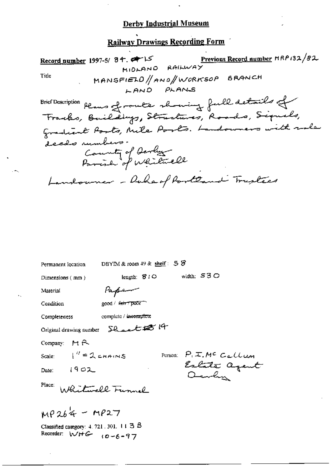# Railway Drawings Recording Form

Previous Record number HRP 132/82 Record number 1997-5/ 84. RAILWAY MIOLANO Title MANSFIELD/ANO/WORKSOP BRANCH LAND PLANS Brief Doscription plans of route showing full details of<br>Tracks, Buildings, Structures, Roads, Signals,<br>Gradient Posts, Mile Posts. Landouners with sole **Brief Description** deeds rumbers.<br>County of Derby<br>Parish of Whitmell Landouner - Duha of Portland Tristics

| DBYIM & room $49$ & shelf: $5$ $\delta$<br>Permanent location                |  |  |  |  |
|------------------------------------------------------------------------------|--|--|--|--|
| width: $530$<br>length: $S1O$<br>Dimensions (mm)                             |  |  |  |  |
| tapen<br>Material                                                            |  |  |  |  |
| good / f <del>air / poor "</del><br>Condition                                |  |  |  |  |
| complete / incomplete<br>Completeness                                        |  |  |  |  |
| Original drawing number Shoelt # 14                                          |  |  |  |  |
| Company: $M \rightarrow$                                                     |  |  |  |  |
| Scale: $\begin{bmatrix} u' = 1 \end{bmatrix}$ chains                         |  |  |  |  |
| Person: P.I.MC Callum<br>Estate agent<br>Date: $[902]$                       |  |  |  |  |
| Place:<br>Walitmell Funnel                                                   |  |  |  |  |
| $MP264 - MP27$                                                               |  |  |  |  |
| Classified category: $4.721.301.113.8$<br>Recorder: $W + G$ ( $0 - 6 - 97$ ) |  |  |  |  |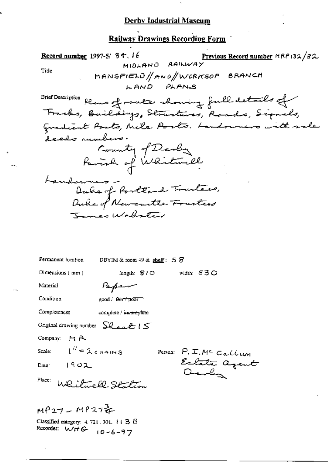**Railway Drawings Recording Form** 

Record number 1997-5/8 +, 16 Previous Record number MRP 132/82 MIDLAND RAILWAY Title MANSFIELD//AND/WORKSOP BRANCH LAND PLANS Brief Description plans of route showing full details of Franks, Baildings, Structures, Roads, Signals, gradient Posts, Mile Posto. Landowners with sale deeds rumbers. County of Devey<br>Paralle of Whitewill Landonnes -<br>Dale of Portland Trustees, Duke of Newcastle Franties Tamas Webster Permanent location DBYIM & room  $49$  & shelf:  $5$   $\overline{5}$ Dimensions (mm) length:  $310$ width: 530 Paper Material Condition good / fair / poor Completeness complete / insemptere Onginal drawing number  $\sum_{\alpha,\alpha,\beta}$  |  $\leq$ Company: MR  $1'' = 2$  chains Person: P. I. Mc Callum Scale: Estate agent  $1902$ Date: Place: Whitevell Station  $MP27 - MP2722$ 

Classified category:  $4.721.301.113.8$ Recorder:  $WHE$   $10-6-97$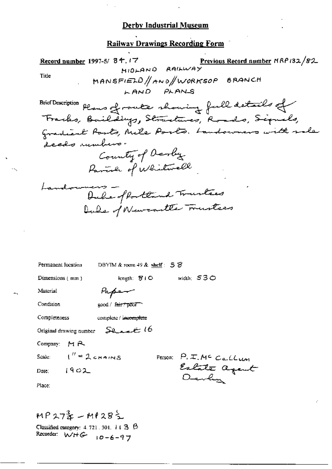### **Railway Drawings Recording Form**

Previous Record number NRP 132/82 Record number 1997-5/ 84.17 HIDLAND RAILWAY Title MANSFIELD/ANO/WORKSOP BRANCH LAND PLANS Brief Description plans of route showing full details of<br>Franks, Baildings, Structures, Roads, Signals,<br>Gradient Posts, Mile Posts. Landowners with sale **Brief Description** deads rumbers. County of Devly<br>Pavial of Whitwell Landonness -<br>Dubs of Portlind Trustees Dale of Newcastle Trustees DBYIM & room 49 & shelf:  $58$ Permanent location length:  $810$ width:  $530$ Dimensions (mm) Material Paper Condition good / fair / poor Completeness complete / incomplete Original drawing number Stratt 16 Company:  $M \rightarrow \infty$  $\mu'' = 2$  chains Person: P. I. Mc Callum Scale: Estate agent  $1902$ Date: Place:

MP27ま - MP28气 Classified category:  $4.721.301.113.8$ Recorder:  $W + G - 10 - 6 - 97$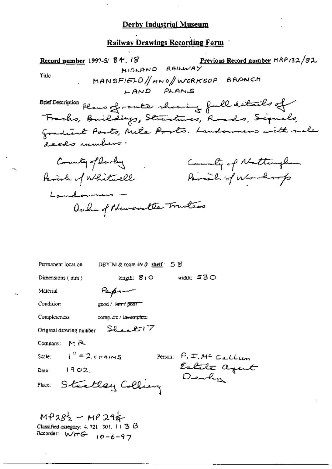# Railway Drawings Recording Form

| Previous Record number MRP132/82<br>Record number 1997-5/84.18<br>MIDLAND RAILWAY |
|-----------------------------------------------------------------------------------|
| Title<br>MANSFIELD/ANO/WORKSOP BRANCH<br>LAND PLANS                               |
| Brief Description plans of route showing full details of                          |
| Fracks, Baildings, Structures, Roads, Sepuals,                                    |
| gradient Parts, Mile Ports. Landowners with rale<br>deeds rumbers.                |
| County of Devely<br>County of Nottingham                                          |
| Parcial of Worksop<br>Farinh of Whitwell                                          |
| Landowners -                                                                      |
| Auche of Newcontle Trusters                                                       |
|                                                                                   |
|                                                                                   |
| Permanent location<br>DBYIM & room $49$ & shelf: $5$ $\%$                         |
| width: $530$<br>length: 310<br>Dimensions (mm)                                    |
| Material<br>Papen                                                                 |
| Condition<br>good / <del>fair / poo</del> r                                       |
| Completeness<br>complete / incomplete                                             |
| Shaak 17<br>Original drawing number                                               |
| Company:<br>$M$ $f$                                                               |
| $i'' = 2$ chains<br>Person: $P_{1}E_{1}M^{c}$ Callum<br>Scale:                    |
| Estate agent<br>Devly<br>Date: $1902$                                             |
| Steelley Colliany<br>Place:                                                       |
|                                                                                   |

MP28<sup>1</sup>/<sub>2</sub> - MP 29<sup>1</sup>/<sub>2</sub><br>Classified category: 4, 721, 301, 11 3 B<br>Recorder: WHG <sub>10-6-97</sub>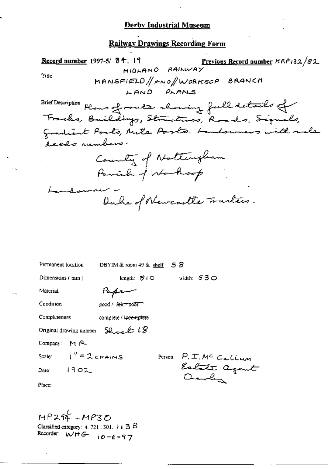# Railway Drawings Recording Form

| Record number 1997-5/84.19<br>Previous Record number MRP132/82<br>MIDLAND RAILWAY<br>Tide<br>MANSFIELD//ANO//WORKSOP BRANCH<br>LAND PLANS<br>Brief Description<br>Plans of route showing full details of<br>Tracks, Buildings, Structures, Roads, Signals,<br>Gradient Posts, Mile Posts. Landowners with sale<br>deeds rumbers. |
|----------------------------------------------------------------------------------------------------------------------------------------------------------------------------------------------------------------------------------------------------------------------------------------------------------------------------------|
| County of Nottingham<br>Parish of Warksop                                                                                                                                                                                                                                                                                        |
| madanare<br>Duke of Newcastle Trarters.                                                                                                                                                                                                                                                                                          |
| Permanent location<br>DBYIM & room $49$ & shelf: $58$                                                                                                                                                                                                                                                                            |
| length: 810 width: 530<br>Dimensions $(mn)$                                                                                                                                                                                                                                                                                      |
| Material<br>Papen                                                                                                                                                                                                                                                                                                                |
| Condition<br>good / <del>ain / poor</del>                                                                                                                                                                                                                                                                                        |
| Completeness<br>complete / incomplete                                                                                                                                                                                                                                                                                            |
| Sheek 18<br>Original drawing number                                                                                                                                                                                                                                                                                              |
| Company: MR                                                                                                                                                                                                                                                                                                                      |
| $1'' = 2$ chains<br>Scale:<br>Person: $P, I, M^c$ Callum<br>Estate agent<br>1902<br>Date:<br>Place:                                                                                                                                                                                                                              |

MP294 - MP30<br>Classified category: 4, 721, 301, 113B<br>Recorder: WHG 10-6-97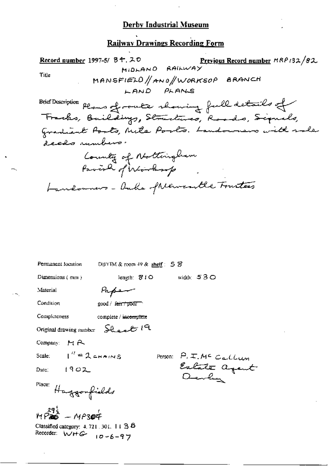### Railway Drawings Recording Form

Previous Record number MRP 132/82 Record number 1997-5/ 34, 20 **MIDLAND** RAILWAY Title MANSFIELD//ANO/WORKSOP BRANCH LAND PLANS Brief Description plans of route showing full details of **Brief Description** Gradient Posts, Mile Posts. Landowners with sale deeds unbers. County of Nottingham Landonners - Duks of Newcortle Trustees Permanent location DBYIM & room 49 & shelf: 5 S length:  $\mathcal{L}$  1 O width:  $530$ Dimensions  $(mn)$ Material Paper Condition good / fair poor Completeness complete / incomplete Sheat 19

Original drawing number

Company: MR

Scale:

Date:  $1902$ 

Place: Haggonfields

 $I'' = 2$  chains

 $MP_{200}^{29\frac{1}{3}} - MP_{300}^{4}$ 

Classified category: 4, 721, 301, 14 3 8 Recorder:  $W + G - 10 - 6 - 97$ 

Person: P. I. MC Callum Estate agent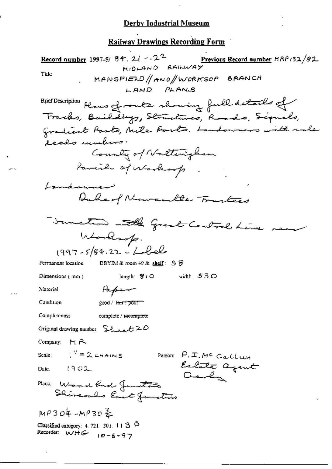# **Railway Drawings Recording Form**

| Record number 1997-5/ $8 + 2$ - 2 <sup>2</sup><br>Previous Record number NRP 132/82.<br>MIDLAND RAILWAY    |
|------------------------------------------------------------------------------------------------------------|
| Tide<br>MANSFIELD/ANO/WORKSOP BRANCH                                                                       |
| LAND PLANS                                                                                                 |
| Brief Description plans of route showing full details of<br>Tracks, Baildings, Structures, Roads, Signals, |
| Gradiant Parts, Mile Ports. Landowners with sale<br>deeds unders.                                          |
| County of Natterigham                                                                                      |
| Parcial of whereberrop                                                                                     |
| bandaumen                                                                                                  |
| Duke of Newcastle Trustees                                                                                 |
| Tunction with Great Central Line mean                                                                      |
| Worksop.                                                                                                   |
| $1997 - 5/84.22 - 22$                                                                                      |
| DBYIM & room $49$ & shelf: $5$ $\%$<br>Permanent location                                                  |
| width, $530$<br>length: $\mathcal{B}$ f $\bigcirc$<br>Dumensions (mm)                                      |
| Material<br>Papen                                                                                          |
| Condition<br>2000 / <del>Гант р</del> оог                                                                  |
| Completeness<br>complete / meentplete                                                                      |
| Original drawing number $\mathcal{L}_{\text{back}} \mathcal{L} \geq \mathcal{O}$                           |
| Company: $H \rightarrow$                                                                                   |
| Scale: $1'' = 2$ CHAINS<br>Person: $P_{1} \pm M^{c}$ Callum                                                |
| Estate agent<br>Devly<br>1902<br>Date:                                                                     |
| Place: Wood function<br>Shereoaks East function                                                            |
| $MP304 - MP30 =$                                                                                           |
| Classified category: 4, 721, 301, 11 $3\overline{6}$<br>Recorder: WHG<br>$10 - 6 - 97$                     |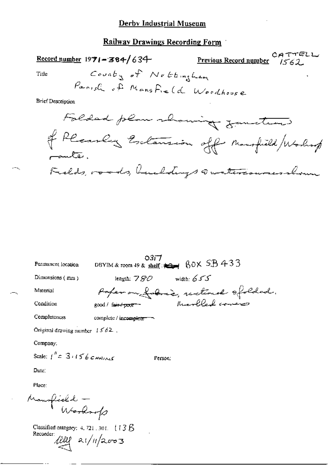# **Railway Drawings Recording Form**

| $\frac{\text{Record number}}{1971 - 384}$ 634           | CATTELL<br>Previous Record number 1562 |
|---------------------------------------------------------|----------------------------------------|
| County of Nottingham<br>Title                           |                                        |
| Parish of Mansfreld Woodhouse                           |                                        |
| <b>Brief Description</b>                                |                                        |
| Folded plan showing functions                           |                                        |
| of Pleasen Estatement off monofield / Working<br>paute. |                                        |
| Fields, roads, buildings Quateriouses shown             |                                        |

| Permanent location               | DBYIM & room 49 & shelf: 4   BOX 5B 433                                                           | 0317.   |              |  |
|----------------------------------|---------------------------------------------------------------------------------------------------|---------|--------------|--|
| Dimensions $(mn)$                | length: $780\,$                                                                                   |         | width: $655$ |  |
| Material                         |                                                                                                   |         |              |  |
| Condition                        | Paper on force, rectional ofolded.<br>ood / fairt poor - hearbled covers<br>good / fair / poor -- |         |              |  |
| Completeness                     | complete / incomplete                                                                             |         |              |  |
| Original drawing number $1562$ , |                                                                                                   |         |              |  |
| Company:                         |                                                                                                   |         |              |  |
| Scale: $1'' = 3.156$ CHAINS      |                                                                                                   | Person: |              |  |
| Date:                            |                                                                                                   |         |              |  |
| Place:                           |                                                                                                   |         |              |  |
|                                  |                                                                                                   |         |              |  |
| Mansfield -<br>Worksofs          |                                                                                                   |         |              |  |
|                                  |                                                                                                   |         |              |  |

Classified category:  $4.721$ ,  $301$ . ( $13B$  $\sf Recorder$  $21/11/2003$ reu

×тъ,

۰.,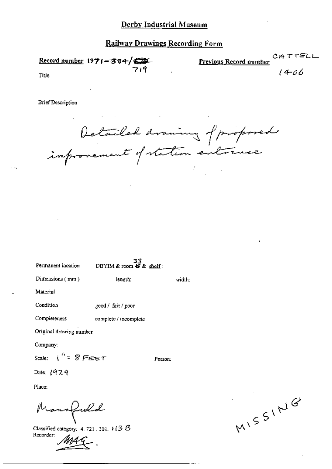### **Railway Drawings Recording Form**

Record number  $1971 - 384$   $\sqrt{221}$ Previous Record number .<br>14-06

Title

**Brief Description** 

Detailed drawing of proposed

Permanent location

33 DBYIM & room  $\overline{49}$  & shelf:

Dimensions (mm)

length.

Material

Condition good / fair / poor

Completeness complete / incomplete

Original drawing number

Company:

Scale:  $\mathfrak{t}'' \approx 8$  FEET

Person:

width:

Date:  $1929$ 

Place:

Mansfield

Classified category: 4, 721, 301,  $\sqrt[3]{3}$   $\overline{3}$ Recorder:

MISSING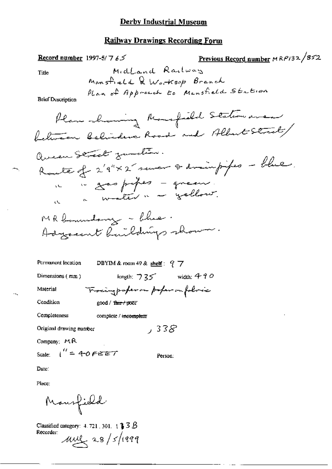#### **Railway Drawings Recording Form**

<u>Previous Record number</u>  $MRP/32/852$ Record number 1997-5/7  $65$ Midland Railway Title Mansfield & Worksop Branch Plan of Approach to Mansfield Station **Brief Description** Plan showing Monsfield Station area between Belinders Road and Albert Street Queen Street function. Route of 2'9"×2 sever & drainpipes - blue. in a gas propes - queen. " water " - yellow. ίV. MR boundary - Chie Adyacent Raildings show. Permanent location DBYIM & room 49 & shelf:  $97$ length:  $735$  width: 490 Dimensions (mm) Troingpoperon poper on foloric Material Condition good / fair / poor Completeness complete / incomplete

 $.338$ 

Person:

Company: MR

Original drawing number

Scale:  $\int_0^{\prime\prime}$  = 4-0 FEET

Date:

Place:

Monsfield

Classified category: 4.721, 301,  $\uparrow$  **3**  $\upbeta$ Recorder:  $\mu$  as/ $\frac{s}{4}$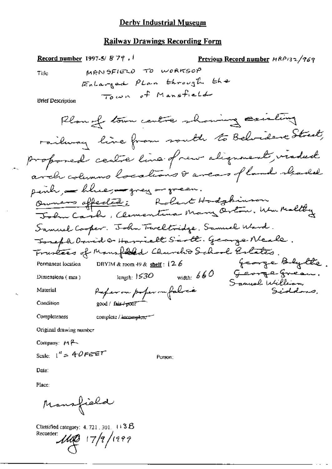Record number 1997-5/879. Previous Record number HRP132/969 MANSFIELD TO WORKSOP Title EnLarged PLan through the Town of Mansfield **Brief Description** Plan of town centre showing existing railway line from routh to Belvidere Street, proponed centre line of new alignment, viaded arch columns locations & areas of land readed penh - blue, - grey - green. Ourners offeded: Robert Hodgbinson John Carl , Clementina Mary Orton, Wen Maltey Samuel Cooper. John Tweltridge. Samuel Ward. Toreph David & Harrielt Serte. George Neale. Trustees of Mansfield Churcho School Estates. George Blytte. DBYIM & room  $49$  & shelf:  $126$ Permanent location width:  $660$ George Greau.  $_{\rm length:}$   $153O$ Dimensions (mm) Samuel William Paper on poper me falres Siddons. Material Condition good / fair / poor Completeness complete / incomplete --Original drawing number

Company:  $M \rightarrow$ 

Scale:  $1'' = 40$ FEET

Date:

Place:

Mansfield

Classified category:  $4.721,301,113B$ Recorder:  $1110$   $17/9/1999$ 

Person: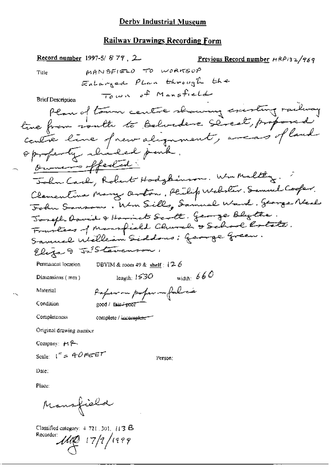Record number 1997-5/879, 2. Previous Record number  $A R P 3 2 / 769$ MANSFIELD TO WORKSOP Title EnLarged PLan through the Town of Mansfield **Brief Description** Plan of town centre showing existing railway tive from routh to Belvidere Street, proposed contre line of new alignment, avents of land oppofenty charled park. Owners offeded John Carl, Robert Hodgkinson. Win Malting. Clamentina Mary Orton, Philip Websler. Samuel Cooper. John Sanson , Wm Sills, Samuel Ward. George Neal Toreph Dovid & Harriot Scott, George Blytte. Frankses of Mansfield Clunch & School Rotate. Samuel Welleam Siddoms : George Green. Eliza & JaStavenson. Permanent location DBYIM & room 49 & shelf :  $(2.6$ width:  $660$ length:  $1530$ Dimensions (mm) Paperon popernifolice Material Condition  $good /$  fair- $i$ -poor Completeness complete / incomplete<sup>-1</sup> Original drawing number Company:  $H \rightarrow$ Scale:  $1'' = 40$ FEET Person: Date:

Place:

Mansfield

Classified category:  $4.721$  ,  $301$ ,  $113$   $\textcircled{\textsc{5}}$ Recorder:

 $\mathcal{U}\!\!\!\mathcal{Q}$  17/9/1999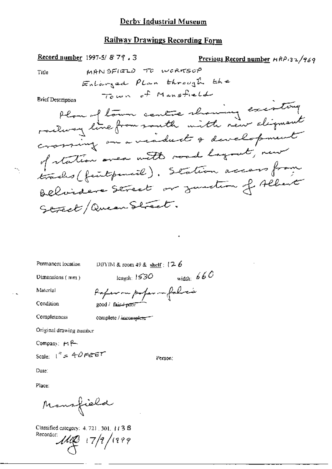MANSFIELD TO WORKSOP

EnLarged PLan through the

Town of Mansfield

Previous Record number HRP132/969

plan of town centre showing existing<br>railway line from south with new digment of station over with road layout, new trades (feutpencil). Station access from Believe Street or zumsten of Albert

Record number 1997-5/879, 3

Title

**Brief Description** 

Street/Queen Street.

Permanent location

DBYIM & room 49 & shelf :  $\{2, 6\}$ 

Dimensions (mm)

width:  $660$ length:  $1530$ 

Condition

Material

Paper on paper in falsa's good / faic+poor

Completeness

complete / incomplete<sup>---</sup>

Original drawing number

Company:  $H_1^2$ 

Scale:  $1^{n} = 40$ FEET

Person:

Date:

Place:

Monsfield

Classified category: 4, 721, 301, 113 8 Recorder:

 $1110$   $17/7/1999$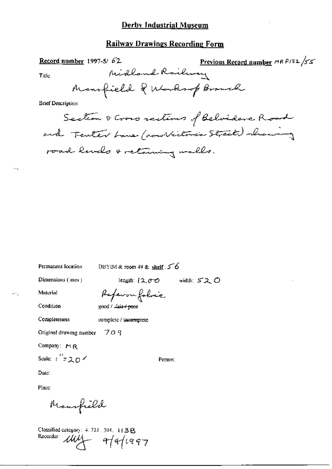### Railway Drawings Recording Form

Previous Record number MR P132 /55 Record number 1997-5/ $62$ Midland Railway Title Mansfield & Washiop Brouch **Brief Description** Section & Cross sections of Belvidere Road and Tenter Lane (now Victoria Street) showing road levels & retaining walls.

Permanent location

DBYIM & room 49 & shelf :  $56$ 

Dimensions (mm)

length:  $(2,0,0)$ width:  $520$ 

Person:

Material

Condition Completeness

complete / incomplete

Original drawing number  $\overline{7}$  O 9

Company: MR

Scale:  $1'' = 20$   $\epsilon$ 

Date:

Place:

Maurfield

Classified category: 4, 721, 301, 113B Recorder: My afafrag7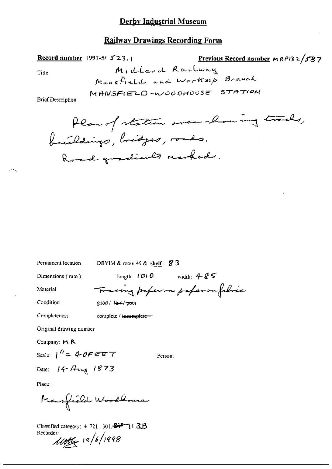### **Railway Drawings Recording Form**

| Record number         | 1997-5/523.1 | Previous Record number | MRPI32/587  |
|-----------------------|--------------|------------------------|-------------|
| Title                 |              | $M + d$ Land Red       | $R$ acblway |
| Mains field and World |              |                        |             |
| MathSETED-W000H00SE   |              | STATION                |             |

net Description

| Permanent location           | DBYIM & room 49 & shelf : $\cancel{8}3$ |                                  |
|------------------------------|-----------------------------------------|----------------------------------|
| Dimensions $(mn)$            |                                         | Ength: $1010$ width: $485$       |
| Material                     |                                         | Toracing paperson paperon fabric |
| Condition                    | good / fair / poor                      |                                  |
| Completeness                 | complete / incomplete-                  |                                  |
| Original drawing number      |                                         |                                  |
| Company: M R                 |                                         |                                  |
| Scale: $1'' = 4$ OF EET      |                                         | Person:                          |
| Date: $14 \text{ Hz}$ $1873$ |                                         |                                  |
| Place:                       |                                         |                                  |

Mansfield Woodbours

Classified category: 4, 721, 301, 8777) (3B 

 $\mathcal{L}(\mathcal{D}_\mathcal{A})$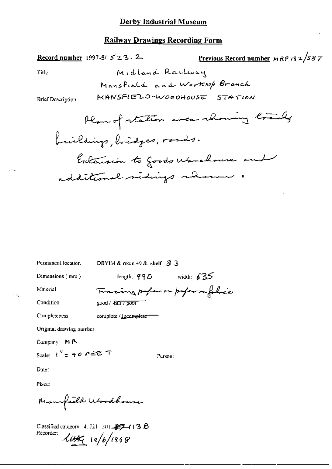### **Railway Drawings Recording Form**

### Record number 1997-5/523.2

Previous Record number  $MRP$  18  $2/58$  7

Title

**Brief Description** 

| Permanent location       | DBYIM & room 49 & shelf : $83$  |  |  |  |
|--------------------------|---------------------------------|--|--|--|
| Dimensions (mm)          | length; $990$ width: 635        |  |  |  |
| Material                 | Tracing poper on poper sufferie |  |  |  |
| Condition                | good / <i>fall / poor</i>       |  |  |  |
| Completeness             | complete / incomplete           |  |  |  |
| Original drawing number  |                                 |  |  |  |
| Company: $M \uparrow$    |                                 |  |  |  |
| Scale: $1'' = 40$ $PEET$ | Person:                         |  |  |  |
| Date:                    |                                 |  |  |  |
| Place:                   |                                 |  |  |  |
| Monofield Woodbouse      |                                 |  |  |  |

Classified category: 4, 721, 301, \$97-(13 B Recorder:  $4446/1998$ 

 $\sim \tau_{\rm g}$ 

 $\sim$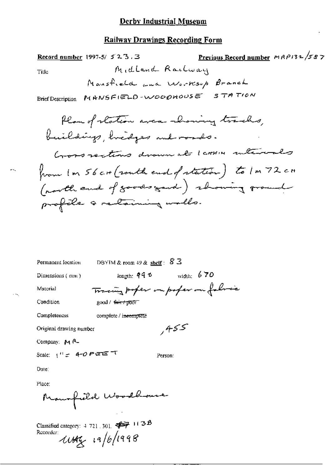#### **Railway Drawings Recording Form**

Previous Record number MAP132/587 Record number  $1997-5/523.3$ Midland Railway Title Mansfield and Worksop Branch Brief Description MANSFIELD-WOODHOUSE STATION

Plan of station area showing tracks, buildings, hidges and roads. Good rections drown at 1 comme intervals home In 56 cm (routh end of station) to In 72 cm (north end of goods good) showing ground profile a retaining walls.

| Permanent location                                                | DBYIM & room 49 & shelf : $83$ |                                     |  |  |
|-------------------------------------------------------------------|--------------------------------|-------------------------------------|--|--|
| Dimensions (mm)                                                   | length: †† f                   | width: $670$                        |  |  |
| Material                                                          |                                | Tracing poper imporper on following |  |  |
| Condition                                                         | good / <del>fair /</del> poor  |                                     |  |  |
| Completeness                                                      | complete / incomplete          |                                     |  |  |
| Original drawing number                                           |                                | ,455                                |  |  |
| Company: $M_{\text{R}}$                                           |                                |                                     |  |  |
| Scale: $1'' = 4-O$ P ETE T<br>Person:                             |                                |                                     |  |  |
| Date:                                                             |                                |                                     |  |  |
| Place:                                                            |                                |                                     |  |  |
| Maurfield Woodhouse                                               |                                |                                     |  |  |
| Classified category: $4.721 - 301$ $\overrightarrow{363} + 11.38$ |                                |                                     |  |  |

Recorder:  $\mu$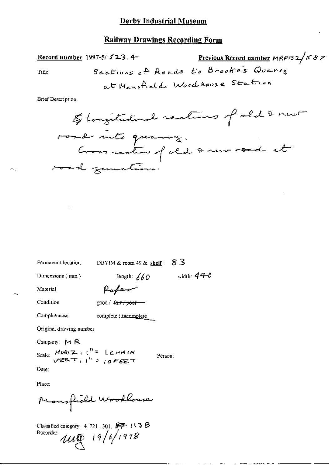### **Railway Drawings Recording Form**

<u>Previous Record number</u>  $MRP/32/587$ Record number 1997-5/523.4-Sections of Roads to Brooke's Quarry Title at Mansfield Woodhouse Station

**Brief Description** 

| Permanent location | DBYIM & room 49 & shelf: $8.3$ |  |  |
|--------------------|--------------------------------|--|--|
|                    |                                |  |  |

length:  $660$ 

Dimensions (mm)

width:  $440$ 

Person:

Material

Condition

good / fair / poor

Paper

Completeness complete (incomplete

Original drawing number

Company: MR

Scale:  $HOR(Z)$ ;  $T = 12HAN$ <br> $VER(T)$ ;  $T = 10FEE$ 

Date:

Place:

Mansfield Woodbouse

Classified category: 4, 721, 301,  $\overrightarrow{ST}$  + 1.13  $\overrightarrow{B}$  $\mu$   $\sqrt{2}$   $19/6$   $1998$ Recorder: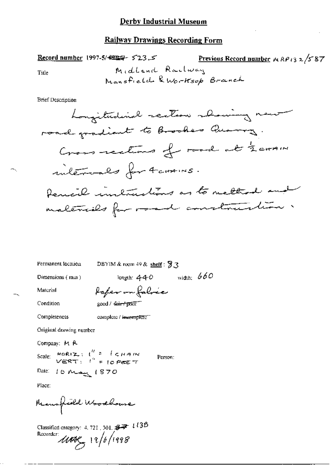Previous Record number  $MRP$ 13 2/587 Record number 1997-5/ $\leftrightarrow$  523.5 Midland Railway Title Mansfield & Worksop Branch

**Brief Description** 

Permanent location

DBYIM & room  $49$  & shelf:  $93$ 

fafer on falric

Dimensions (mm)

length:  $440$  width:  $660$ 

Condition

Material

good / fair / pokir

Completeness

complete / insemplete"

Original drawing number

Company: M R

Scale:  $H\circ R(Z)$ ;  $\int_{a}^{b} f(x) dx = \int_{C} H A M$ 

Person:

Date: 10 May 1870

Place:

Manufield Woodbouse

Classified category: 4, 721, 301,  $\cancel{37}$   $\cancel{1/38}$ Recorder  $\mu$ 08 12/6/1998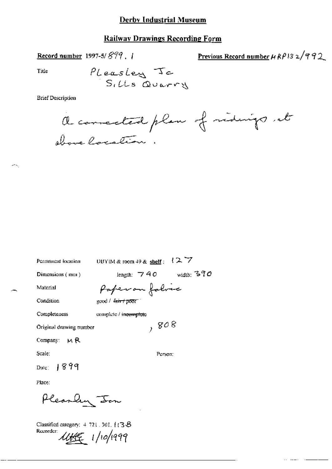### **Railway Drawings Recording Form**

Record number 1997-5/899, 1

Previous Record number 
$$
\mu \ell \ell / 3
$$
 2/992

Title

ж,

**Brief Description** 



 $\sim$ 

| Permanent location       | ( A /<br>DBYIM & room $49$ & shelf :   |
|--------------------------|----------------------------------------|
| Dimensions (mm)          | width: $390$<br>length: $\sqrt{7}$ 4.0 |
| Material                 | Paper on folved                        |
| Condition                | good / <del>fair / poor</del> 1        |
| Completeness             | complete / incomplete                  |
| Original drawing number  | , so 8                                 |
| Company: $M \mathcal{R}$ |                                        |
| Scale:                   | Purson:                                |
| Dale: $1899$             |                                        |
| Place:                   |                                        |

Pleaschy Jon

Classified category:  $4$  721, 301,  $(138$ Recorder: 11199 1/10/1999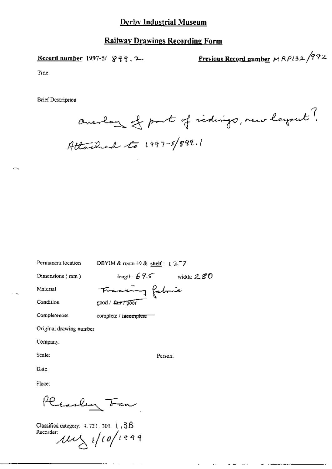### **Railway Drawings Recording Form**

Record number 1997-5/  $899$ , 2.

Previous Record number  $MRP132/992$ 

Title

**Brief Description** 

averlay of part of ridings, new layout? Attached to 1997-5/899.1

Permanent focation

DBYIM & room  $49$  & shelf :  $1277$ 

Dimensions  $(mm)$ 

length:  $695$  width:  $280$ 

Person:

Material Condition

 $\sim$ 

Tracing fabric good / fairy poor

Completeness complete / incomplete

Original drawing number

Company:

Scale:

Date:

Place:

Reacher Ten

Classified category:  $4.721 \pm 301$ ,  $(13B)$ Recorder:  $\mu$  /1/10/1999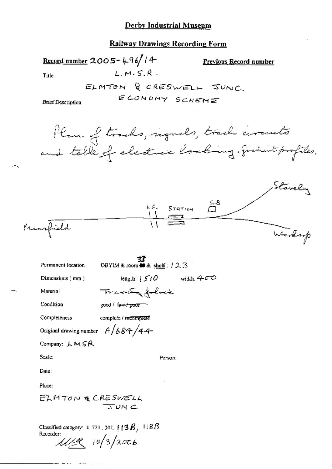#### Railway Drawings Recording Form

Record number 2005-496/14 Previous Record number  $L.M.S.R.$ Title ELMTON & CRESWELL JUNC. ECONOMY SCHEME **Brief Description** Plan of tracks, reguls, track circuits and table of electric locking. gradint profiles. Stavely  $\frac{100}{11}$   $\frac{5.8}{11}$ Mansfield Worksop **EF**<br>DBYIM & room **to** & shelf:  $123$ Permanent location width:  $400$ length:  $\frac{1}{2}$   $\frac{1}{2}$   $\frac{1}{2}$   $\frac{1}{2}$ Dimensions (mm) Tracety folice Material Condition good / fair / poor Completeness complete / incomplete Original drawing number  $A/684/44$ Company: LMSR Scale: Person: Date: Place: ELMTON & CRESWELL  $T$ UN  $\subset$ Classified category: 4, 721, 301,  $\sharp$  [3 $B$ ], 118 $B$ Recorder:

 $11198$   $10/3/2006$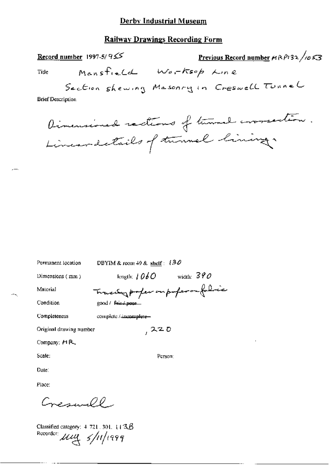### **Railway Drawings Recording Form**

Record number 1997-5/ $95$ 

<u>Previous Record number</u>  $\mu$ RP132 /1053

Title

Mansfield Worksop Line

Section shewing Masonry in Creswell Tunnel

**Brief Description** 

Dimensioned ractions of turnal correction. Lineardetails of turnal lining.

| Permanent location      | DBYIM & room 49 & shelf: $130$       |
|-------------------------|--------------------------------------|
| Dimensions (mm)         | width: $390$<br>length: $1060$       |
| Material                | Traces profession profession follows |
| Condition               | good / Fris / poor                   |
| Completeness            | complete / immaglete-                |
| Original drawing number | 220                                  |
| Company: $H R$          |                                      |
| Scale:                  | Person:                              |
| Date:                   |                                      |
| Place:                  |                                      |
| مكمسسس                  |                                      |

Classified category:  $4-721$ , 301, 113 $\beta$ Recorder  $\mu$  $\mu$   $\gamma$  /11/1999